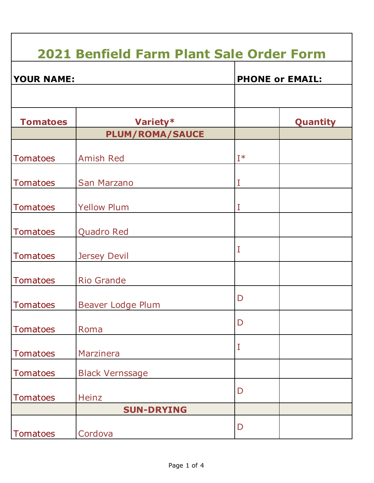## **Tomatoes | Variety\*** | Quantity **PLUM/ROMA/SAUCE** Tomatoes Amish Red I<sup>\*</sup> Tomatoes San Marzano II Tomatoes Yellow Plum II Tomatoes | Quadro Red Tomatoes | Jersey Devil I Tomatoes Rio Grande Tomatoes | Beaver Lodge Plum D Tomatoes Roma D Tomatoes | Marzinera I Tomatoes Black Vernssage Tomatoes Heinz D **SUN-DRYING** Tomatoes Cordova D **2021 Benfield Farm Plant Sale Order Form YOUR NAME: PHONE or EMAIL:**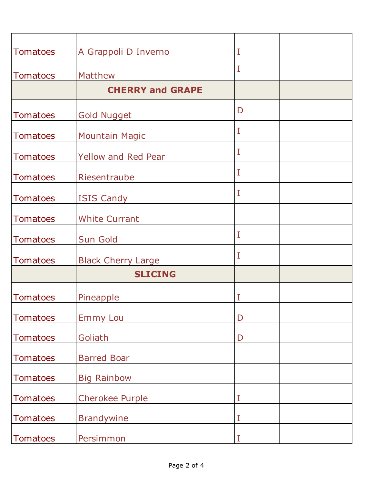| <b>Tomatoes</b> | A Grappoli D Inverno       | I           |  |
|-----------------|----------------------------|-------------|--|
|                 |                            |             |  |
| <b>Tomatoes</b> | <b>Matthew</b>             | I           |  |
|                 | <b>CHERRY and GRAPE</b>    |             |  |
| <b>Tomatoes</b> | <b>Gold Nugget</b>         | D           |  |
| <b>Tomatoes</b> | <b>Mountain Magic</b>      | $\rm I$     |  |
| <b>Tomatoes</b> | <b>Yellow and Red Pear</b> | $\rm I$     |  |
| <b>Tomatoes</b> | Riesentraube               | I           |  |
| <b>Tomatoes</b> | <b>ISIS Candy</b>          | I           |  |
| <b>Tomatoes</b> | <b>White Currant</b>       |             |  |
| <b>Tomatoes</b> | <b>Sun Gold</b>            | I           |  |
| <b>Tomatoes</b> | <b>Black Cherry Large</b>  | I           |  |
|                 | <b>SLICING</b>             |             |  |
| <b>Tomatoes</b> | Pineapple                  | I           |  |
| <b>Tomatoes</b> | <b>Emmy Lou</b>            | D           |  |
| <b>Tomatoes</b> | Goliath                    | $\mathsf D$ |  |
| <b>Tomatoes</b> | <b>Barred Boar</b>         |             |  |
| <b>Tomatoes</b> | <b>Big Rainbow</b>         |             |  |
| <b>Tomatoes</b> | <b>Cherokee Purple</b>     | I           |  |
| <b>Tomatoes</b> | <b>Brandywine</b>          | I           |  |
| <b>Tomatoes</b> | Persimmon                  | I           |  |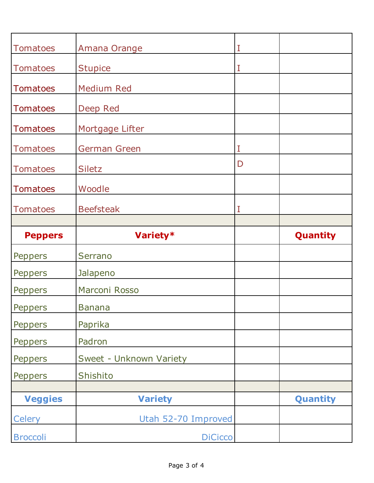| <b>Tomatoes</b> | Amana Orange            | I |                 |
|-----------------|-------------------------|---|-----------------|
| <b>Tomatoes</b> | <b>Stupice</b>          | I |                 |
| <b>Tomatoes</b> | <b>Medium Red</b>       |   |                 |
| <b>Tomatoes</b> | Deep Red                |   |                 |
| <b>Tomatoes</b> | Mortgage Lifter         |   |                 |
| <b>Tomatoes</b> | <b>German Green</b>     | I |                 |
| <b>Tomatoes</b> | <b>Siletz</b>           | D |                 |
| <b>Tomatoes</b> | Woodle                  |   |                 |
| <b>Tomatoes</b> | <b>Beefsteak</b>        | I |                 |
|                 |                         |   |                 |
|                 |                         |   |                 |
| <b>Peppers</b>  | Variety*                |   | Quantity        |
| Peppers         | Serrano                 |   |                 |
| Peppers         | Jalapeno                |   |                 |
| <b>Peppers</b>  | Marconi Rosso           |   |                 |
| Peppers         | <b>Banana</b>           |   |                 |
| <b>Peppers</b>  | Paprika                 |   |                 |
| <b>Peppers</b>  | Padron                  |   |                 |
| Peppers         | Sweet - Unknown Variety |   |                 |
| Peppers         | Shishito                |   |                 |
|                 |                         |   |                 |
| <b>Veggies</b>  | <b>Variety</b>          |   | <b>Quantity</b> |
| <b>Celery</b>   | Utah 52-70 Improved     |   |                 |